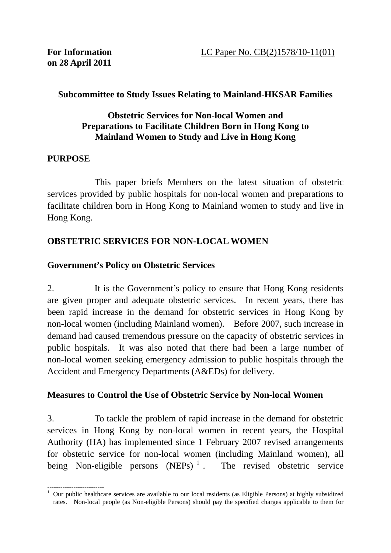#### **Subcommittee to Study Issues Relating to Mainland-HKSAR Families**

#### **Obstetric Services for Non-local Women and Preparations to Facilitate Children Born in Hong Kong to Mainland Women to Study and Live in Hong Kong**

#### **PURPOSE**

 This paper briefs Members on the latest situation of obstetric services provided by public hospitals for non-local women and preparations to facilitate children born in Hong Kong to Mainland women to study and live in Hong Kong.

## **OBSTETRIC SERVICES FOR NON-LOCAL WOMEN**

## **Government's Policy on Obstetric Services**

2. It is the Government's policy to ensure that Hong Kong residents are given proper and adequate obstetric services. In recent years, there has been rapid increase in the demand for obstetric services in Hong Kong by non-local women (including Mainland women). Before 2007, such increase in demand had caused tremendous pressure on the capacity of obstetric services in public hospitals. It was also noted that there had been a large number of non-local women seeking emergency admission to public hospitals through the Accident and Emergency Departments (A&EDs) for delivery.

## **Measures to Control the Use of Obstetric Service by Non-local Women**

3. To tackle the problem of rapid increase in the demand for obstetric services in Hong Kong by non-local women in recent years, the Hospital Authority (HA) has implemented since 1 February 2007 revised arrangements for obstetric service for non-local women (including Mainland women), all being Non-eligible persons  $(NEPs)^1$ . The revised obstetric service

<sup>--------------------------</sup>  1 Our public healthcare services are available to our local residents (as Eligible Persons) at highly subsidized rates. Non-local people (as Non-eligible Persons) should pay the specified charges applicable to them for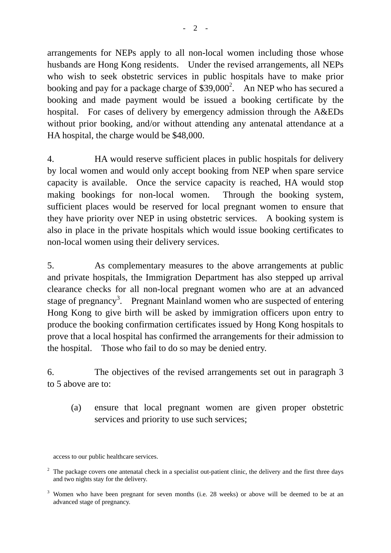arrangements for NEPs apply to all non-local women including those whose husbands are Hong Kong residents. Under the revised arrangements, all NEPs who wish to seek obstetric services in public hospitals have to make prior booking and pay for a package charge of  $$39,000^2$ . An NEP who has secured a booking and made payment would be issued a booking certificate by the hospital. For cases of delivery by emergency admission through the A&EDs without prior booking, and/or without attending any antenatal attendance at a HA hospital, the charge would be \$48,000.

4. HA would reserve sufficient places in public hospitals for delivery by local women and would only accept booking from NEP when spare service capacity is available. Once the service capacity is reached, HA would stop making bookings for non-local women. Through the booking system, sufficient places would be reserved for local pregnant women to ensure that they have priority over NEP in using obstetric services. A booking system is also in place in the private hospitals which would issue booking certificates to non-local women using their delivery services.

5. As complementary measures to the above arrangements at public and private hospitals, the Immigration Department has also stepped up arrival clearance checks for all non-local pregnant women who are at an advanced stage of pregnancy<sup>3</sup>. Pregnant Mainland women who are suspected of entering Hong Kong to give birth will be asked by immigration officers upon entry to produce the booking confirmation certificates issued by Hong Kong hospitals to prove that a local hospital has confirmed the arrangements for their admission to the hospital. Those who fail to do so may be denied entry.

6. The objectives of the revised arrangements set out in paragraph 3 to 5 above are to:

(a) ensure that local pregnant women are given proper obstetric services and priority to use such services;

access to our public healthcare services.

 $2\degree$  The package covers one antenatal check in a specialist out-patient clinic, the delivery and the first three days and two nights stay for the delivery.

<sup>&</sup>lt;sup>3</sup> Women who have been pregnant for seven months (i.e. 28 weeks) or above will be deemed to be at an advanced stage of pregnancy.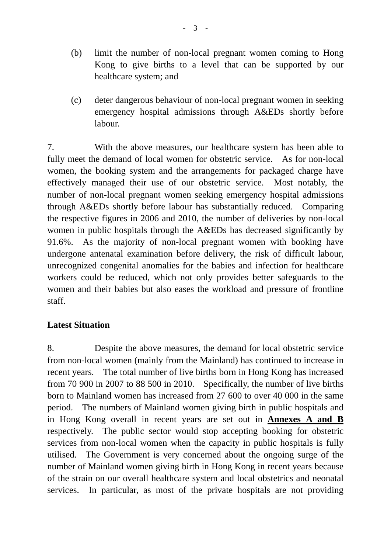- (b) limit the number of non-local pregnant women coming to Hong Kong to give births to a level that can be supported by our healthcare system; and
- (c) deter dangerous behaviour of non-local pregnant women in seeking emergency hospital admissions through A&EDs shortly before labour.

7. With the above measures, our healthcare system has been able to fully meet the demand of local women for obstetric service. As for non-local women, the booking system and the arrangements for packaged charge have effectively managed their use of our obstetric service. Most notably, the number of non-local pregnant women seeking emergency hospital admissions through A&EDs shortly before labour has substantially reduced. Comparing the respective figures in 2006 and 2010, the number of deliveries by non-local women in public hospitals through the A&EDs has decreased significantly by 91.6%. As the majority of non-local pregnant women with booking have undergone antenatal examination before delivery, the risk of difficult labour, unrecognized congenital anomalies for the babies and infection for healthcare workers could be reduced, which not only provides better safeguards to the women and their babies but also eases the workload and pressure of frontline staff.

#### **Latest Situation**

8. Despite the above measures, the demand for local obstetric service from non-local women (mainly from the Mainland) has continued to increase in recent years. The total number of live births born in Hong Kong has increased from 70 900 in 2007 to 88 500 in 2010. Specifically, the number of live births born to Mainland women has increased from 27 600 to over 40 000 in the same period. The numbers of Mainland women giving birth in public hospitals and in Hong Kong overall in recent years are set out in **Annexes A and B** respectively. The public sector would stop accepting booking for obstetric services from non-local women when the capacity in public hospitals is fully utilised. The Government is very concerned about the ongoing surge of the number of Mainland women giving birth in Hong Kong in recent years because of the strain on our overall healthcare system and local obstetrics and neonatal services. In particular, as most of the private hospitals are not providing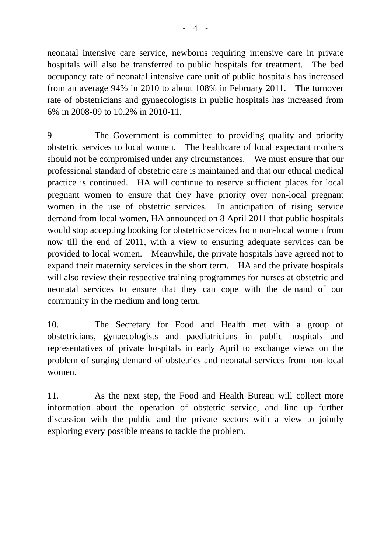neonatal intensive care service, newborns requiring intensive care in private hospitals will also be transferred to public hospitals for treatment. The bed occupancy rate of neonatal intensive care unit of public hospitals has increased from an average 94% in 2010 to about 108% in February 2011. The turnover rate of obstetricians and gynaecologists in public hospitals has increased from 6% in 2008-09 to 10.2% in 2010-11.

9. The Government is committed to providing quality and priority obstetric services to local women. The healthcare of local expectant mothers should not be compromised under any circumstances. We must ensure that our professional standard of obstetric care is maintained and that our ethical medical practice is continued. HA will continue to reserve sufficient places for local pregnant women to ensure that they have priority over non-local pregnant women in the use of obstetric services. In anticipation of rising service demand from local women, HA announced on 8 April 2011 that public hospitals would stop accepting booking for obstetric services from non-local women from now till the end of 2011, with a view to ensuring adequate services can be provided to local women. Meanwhile, the private hospitals have agreed not to expand their maternity services in the short term. HA and the private hospitals will also review their respective training programmes for nurses at obstetric and neonatal services to ensure that they can cope with the demand of our community in the medium and long term.

10. The Secretary for Food and Health met with a group of obstetricians, gynaecologists and paediatricians in public hospitals and representatives of private hospitals in early April to exchange views on the problem of surging demand of obstetrics and neonatal services from non-local women.

11. As the next step, the Food and Health Bureau will collect more information about the operation of obstetric service, and line up further discussion with the public and the private sectors with a view to jointly exploring every possible means to tackle the problem.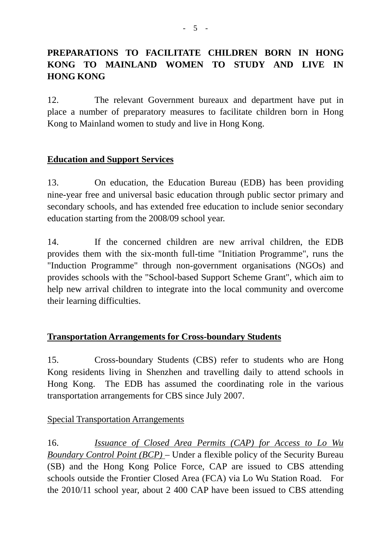# **PREPARATIONS TO FACILITATE CHILDREN BORN IN HONG KONG TO MAINLAND WOMEN TO STUDY AND LIVE IN HONG KONG**

12. The relevant Government bureaux and department have put in place a number of preparatory measures to facilitate children born in Hong Kong to Mainland women to study and live in Hong Kong.

## **Education and Support Services**

13. On education, the Education Bureau (EDB) has been providing nine-year free and universal basic education through public sector primary and secondary schools, and has extended free education to include senior secondary education starting from the 2008/09 school year.

14. If the concerned children are new arrival children, the EDB provides them with the six-month full-time "Initiation Programme", runs the "Induction Programme" through non-government organisations (NGOs) and provides schools with the "School-based Support Scheme Grant", which aim to help new arrival children to integrate into the local community and overcome their learning difficulties.

## **Transportation Arrangements for Cross-boundary Students**

15. Cross-boundary Students (CBS) refer to students who are Hong Kong residents living in Shenzhen and travelling daily to attend schools in Hong Kong. The EDB has assumed the coordinating role in the various transportation arrangements for CBS since July 2007.

## Special Transportation Arrangements

16. *Issuance of Closed Area Permits (CAP) for Access to Lo Wu Boundary Control Point (BCP)* – Under a flexible policy of the Security Bureau (SB) and the Hong Kong Police Force, CAP are issued to CBS attending schools outside the Frontier Closed Area (FCA) via Lo Wu Station Road. For the 2010/11 school year, about 2 400 CAP have been issued to CBS attending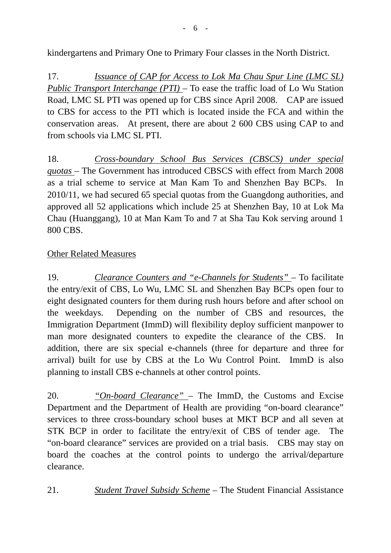kindergartens and Primary One to Primary Four classes in the North District.

17. *Issuance of CAP for Access to Lok Ma Chau Spur Line (LMC SL) Public Transport Interchange (PTI)* – To ease the traffic load of Lo Wu Station Road, LMC SL PTI was opened up for CBS since April 2008. CAP are issued to CBS for access to the PTI which is located inside the FCA and within the conservation areas. At present, there are about 2 600 CBS using CAP to and from schools via LMC SL PTI.

18. *Cross-boundary School Bus Services (CBSCS) under special quotas* – The Government has introduced CBSCS with effect from March 2008 as a trial scheme to service at Man Kam To and Shenzhen Bay BCPs. In 2010/11, we had secured 65 special quotas from the Guangdong authorities, and approved all 52 applications which include 25 at Shenzhen Bay, 10 at Lok Ma Chau (Huanggang), 10 at Man Kam To and 7 at Sha Tau Kok serving around 1 800 CBS.

## Other Related Measures

19. *Clearance Counters and "e-Channels for Students"* – To facilitate the entry/exit of CBS, Lo Wu, LMC SL and Shenzhen Bay BCPs open four to eight designated counters for them during rush hours before and after school on the weekdays. Depending on the number of CBS and resources, the Immigration Department (ImmD) will flexibility deploy sufficient manpower to man more designated counters to expedite the clearance of the CBS. In addition, there are six special e-channels (three for departure and three for arrival) built for use by CBS at the Lo Wu Control Point. ImmD is also planning to install CBS e-channels at other control points.

20. *"On-board Clearance"* – The ImmD, the Customs and Excise Department and the Department of Health are providing "on-board clearance" services to three cross-boundary school buses at MKT BCP and all seven at STK BCP in order to facilitate the entry/exit of CBS of tender age. The "on-board clearance" services are provided on a trial basis. CBS may stay on board the coaches at the control points to undergo the arrival/departure clearance.

21. *Student Travel Subsidy Scheme* – The Student Financial Assistance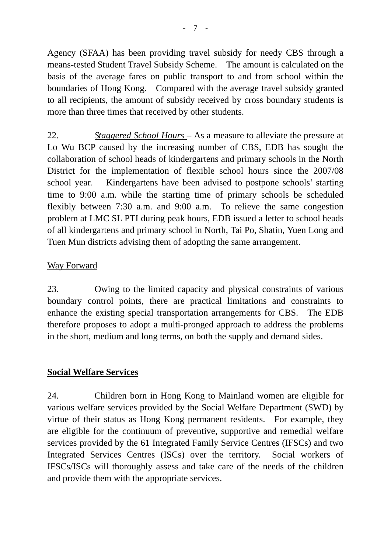Agency (SFAA) has been providing travel subsidy for needy CBS through a means-tested Student Travel Subsidy Scheme. The amount is calculated on the basis of the average fares on public transport to and from school within the boundaries of Hong Kong. Compared with the average travel subsidy granted to all recipients, the amount of subsidy received by cross boundary students is more than three times that received by other students.

22. *Staggered School Hours* – As a measure to alleviate the pressure at Lo Wu BCP caused by the increasing number of CBS, EDB has sought the collaboration of school heads of kindergartens and primary schools in the North District for the implementation of flexible school hours since the 2007/08 school year. Kindergartens have been advised to postpone schools' starting time to 9:00 a.m. while the starting time of primary schools be scheduled flexibly between 7:30 a.m. and 9:00 a.m. To relieve the same congestion problem at LMC SL PTI during peak hours, EDB issued a letter to school heads of all kindergartens and primary school in North, Tai Po, Shatin, Yuen Long and Tuen Mun districts advising them of adopting the same arrangement.

#### Way Forward

23. Owing to the limited capacity and physical constraints of various boundary control points, there are practical limitations and constraints to enhance the existing special transportation arrangements for CBS. The EDB therefore proposes to adopt a multi-pronged approach to address the problems in the short, medium and long terms, on both the supply and demand sides.

#### **Social Welfare Services**

24. Children born in Hong Kong to Mainland women are eligible for various welfare services provided by the Social Welfare Department (SWD) by virtue of their status as Hong Kong permanent residents. For example, they are eligible for the continuum of preventive, supportive and remedial welfare services provided by the 61 Integrated Family Service Centres (IFSCs) and two Integrated Services Centres (ISCs) over the territory. Social workers of IFSCs/ISCs will thoroughly assess and take care of the needs of the children and provide them with the appropriate services.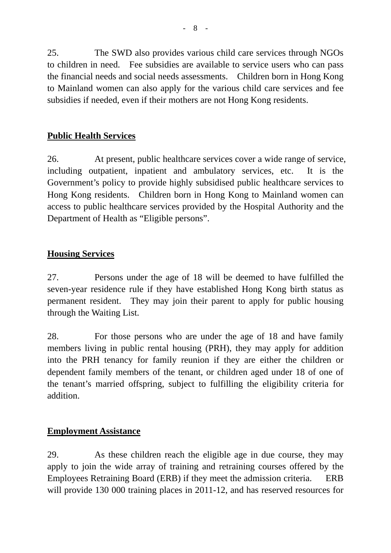25. The SWD also provides various child care services through NGOs to children in need. Fee subsidies are available to service users who can pass the financial needs and social needs assessments. Children born in Hong Kong to Mainland women can also apply for the various child care services and fee subsidies if needed, even if their mothers are not Hong Kong residents.

## **Public Health Services**

26. At present, public healthcare services cover a wide range of service, including outpatient, inpatient and ambulatory services, etc. It is the Government's policy to provide highly subsidised public healthcare services to Hong Kong residents. Children born in Hong Kong to Mainland women can access to public healthcare services provided by the Hospital Authority and the Department of Health as "Eligible persons".

## **Housing Services**

27. Persons under the age of 18 will be deemed to have fulfilled the seven-year residence rule if they have established Hong Kong birth status as permanent resident. They may join their parent to apply for public housing through the Waiting List.

28. For those persons who are under the age of 18 and have family members living in public rental housing (PRH), they may apply for addition into the PRH tenancy for family reunion if they are either the children or dependent family members of the tenant, or children aged under 18 of one of the tenant's married offspring, subject to fulfilling the eligibility criteria for addition.

## **Employment Assistance**

29. As these children reach the eligible age in due course, they may apply to join the wide array of training and retraining courses offered by the Employees Retraining Board (ERB) if they meet the admission criteria. ERB will provide 130 000 training places in 2011-12, and has reserved resources for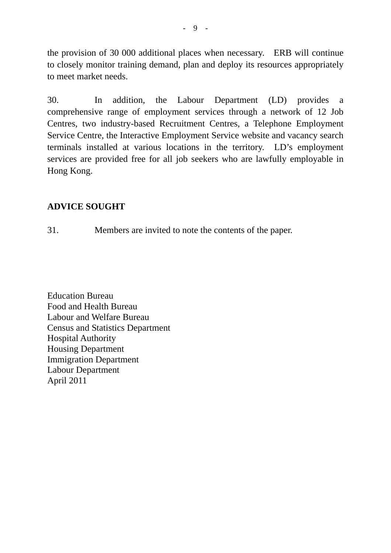the provision of 30 000 additional places when necessary. ERB will continue to closely monitor training demand, plan and deploy its resources appropriately to meet market needs.

30. In addition, the Labour Department (LD) provides a comprehensive range of employment services through a network of 12 Job Centres, two industry-based Recruitment Centres, a Telephone Employment Service Centre, the Interactive Employment Service website and vacancy search terminals installed at various locations in the territory. LD's employment services are provided free for all job seekers who are lawfully employable in Hong Kong.

# **ADVICE SOUGHT**

31. Members are invited to note the contents of the paper.

Education Bureau Food and Health Bureau Labour and Welfare Bureau Census and Statistics Department Hospital Authority Housing Department Immigration Department Labour Department April 2011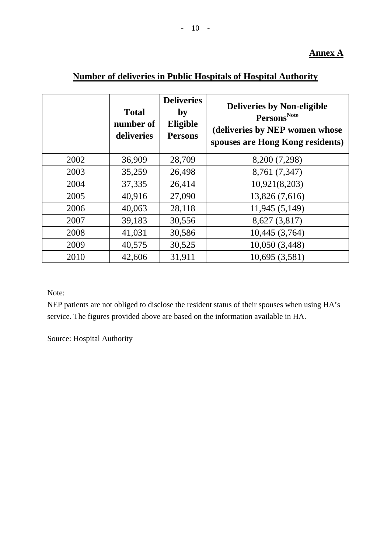## **Annex A**

|--|

|      | <b>Total</b><br>number of<br>deliveries | <b>Deliveries</b><br>by<br>Eligible<br><b>Persons</b> | <b>Deliveries by Non-eligible</b><br>Persons <sup>Note</sup><br>(deliveries by NEP women whose<br>spouses are Hong Kong residents) |
|------|-----------------------------------------|-------------------------------------------------------|------------------------------------------------------------------------------------------------------------------------------------|
| 2002 | 36,909                                  | 28,709                                                | 8,200 (7,298)                                                                                                                      |
| 2003 | 35,259                                  | 26,498                                                | 8,761 (7,347)                                                                                                                      |
| 2004 | 37,335                                  | 26,414                                                | 10,921(8,203)                                                                                                                      |
| 2005 | 40,916                                  | 27,090                                                | 13,826 (7,616)                                                                                                                     |
| 2006 | 40,063                                  | 28,118                                                | 11,945 (5,149)                                                                                                                     |
| 2007 | 39,183                                  | 30,556                                                | 8,627 (3,817)                                                                                                                      |
| 2008 | 41,031                                  | 30,586                                                | 10,445 (3,764)                                                                                                                     |
| 2009 | 40,575                                  | 30,525                                                | 10,050 (3,448)                                                                                                                     |
| 2010 | 42,606                                  | 31,911                                                | 10,695 (3,581)                                                                                                                     |

Note:

NEP patients are not obliged to disclose the resident status of their spouses when using HA's service. The figures provided above are based on the information available in HA.

Source: Hospital Authority